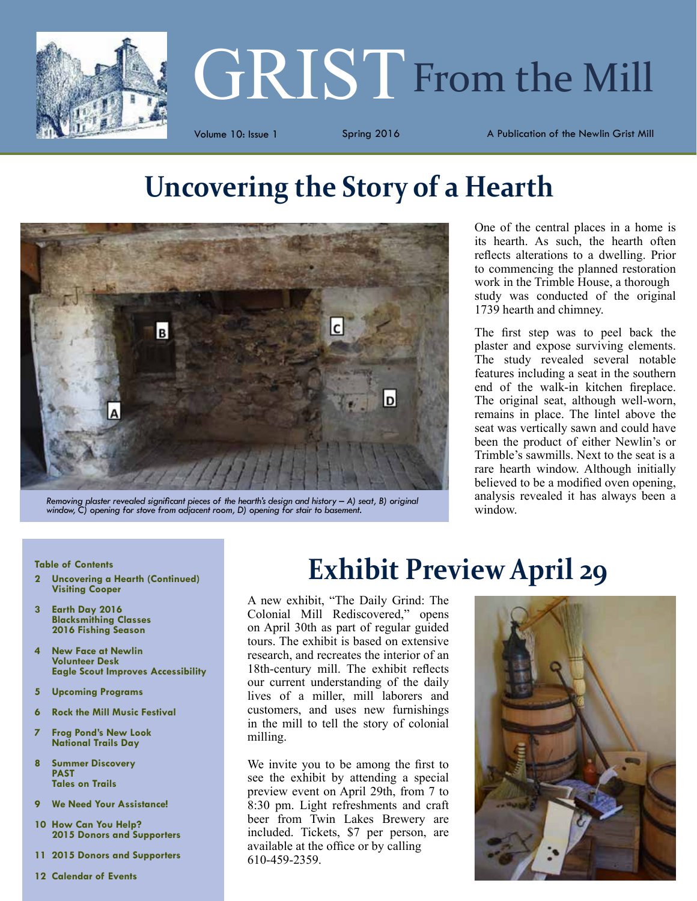

# **GRIST** From the Mill

Volume 10: Issue 1 Spring 2016 A Publication of the Newlin Grist Mill

# **Uncovering the Story of a Hearth**



*Removing plaster revealed significant pieces of the hearth's design and history – A) seat, B) original window, C) opening for stove from adjacent room, D) opening for stair to basement.*

One of the central places in a home is its hearth. As such, the hearth often reflects alterations to a dwelling. Prior to commencing the planned restoration work in the Trimble House, a thorough study was conducted of the original 1739 hearth and chimney.

The first step was to peel back the plaster and expose surviving elements. The study revealed several notable features including a seat in the southern end of the walk-in kitchen fireplace. The original seat, although well-worn, remains in place. The lintel above the seat was vertically sawn and could have been the product of either Newlin's or Trimble's sawmills. Next to the seat is a rare hearth window. Although initially believed to be a modified oven opening, analysis revealed it has always been a window.

#### **Table of Contents**

- **2 Uncovering a Hearth (Continued) Visiting Cooper**
- **3 Earth Day 2016 Blacksmithing Classes 2016 Fishing Season**
- **4 New Face at Newlin Volunteer Desk Eagle Scout Improves Accessibility**
- **5 Upcoming Programs**
- **6 Rock the Mill Music Festival**
- **7 Frog Pond's New Look National Trails Day**
- **8 Summer Discovery PAST Tales on Trails**
- **9 We Need Your Assistance!**
- **10 How Can You Help? 2015 Donors and Supporters**
- **11 2015 Donors and Supporters**
- **12 Calendar of Events**

# **Exhibit Preview April 29**

A new exhibit, "The Daily Grind: The Colonial Mill Rediscovered," opens on April 30th as part of regular guided tours. The exhibit is based on extensive research, and recreates the interior of an 18th-century mill. The exhibit reflects our current understanding of the daily lives of a miller, mill laborers and customers, and uses new furnishings in the mill to tell the story of colonial milling.

We invite you to be among the first to see the exhibit by attending a special preview event on April 29th, from 7 to 8:30 pm. Light refreshments and craft beer from Twin Lakes Brewery are included. Tickets, \$7 per person, are available at the office or by calling 610-459-2359.

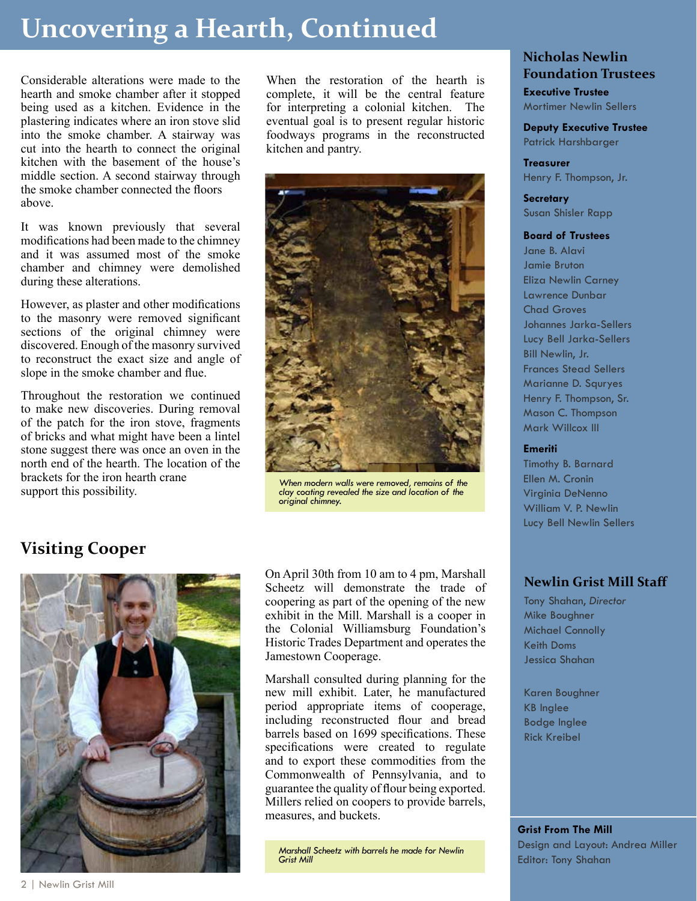# **Uncovering a Hearth, Continued**

Considerable alterations were made to the hearth and smoke chamber after it stopped being used as a kitchen. Evidence in the plastering indicates where an iron stove slid into the smoke chamber. A stairway was cut into the hearth to connect the original kitchen with the basement of the house's middle section. A second stairway through the smoke chamber connected the floors above.

It was known previously that several modifications had been made to the chimney and it was assumed most of the smoke chamber and chimney were demolished during these alterations.

However, as plaster and other modifications to the masonry were removed significant sections of the original chimney were discovered. Enough of the masonry survived to reconstruct the exact size and angle of slope in the smoke chamber and flue.

Throughout the restoration we continued to make new discoveries. During removal of the patch for the iron stove, fragments of bricks and what might have been a lintel stone suggest there was once an oven in the north end of the hearth. The location of the brackets for the iron hearth crane support this possibility.

When the restoration of the hearth is complete, it will be the central feature for interpreting a colonial kitchen. The eventual goal is to present regular historic foodways programs in the reconstructed kitchen and pantry.



*When modern walls were removed, remains of the clay coating revealed the size and location of the original chimney.*

#### **Visiting Cooper**



On April 30th from 10 am to 4 pm, Marshall Scheetz will demonstrate the trade of coopering as part of the opening of the new exhibit in the Mill. Marshall is a cooper in the Colonial Williamsburg Foundation's Historic Trades Department and operates the Jamestown Cooperage.

Marshall consulted during planning for the new mill exhibit. Later, he manufactured period appropriate items of cooperage, including reconstructed flour and bread barrels based on 1699 specifications. These specifications were created to regulate and to export these commodities from the Commonwealth of Pennsylvania, and to guarantee the quality of flour being exported. Millers relied on coopers to provide barrels, measures, and buckets.

*Marshall Scheetz with barrels he made for Newlin Grist Mill*

#### **Nicholas Newlin Foundation Trustees**

**Executive Trustee** Mortimer Newlin Sellers

**Deputy Executive Trustee** Patrick Harshbarger

#### **Treasurer**

Henry F. Thompson, Jr.

**Secretary** Susan Shisler Rapp

#### **Board of Trustees**

Jane B. Alavi Jamie Bruton Eliza Newlin Carney Lawrence Dunbar Chad Groves Johannes Jarka-Sellers Lucy Bell Jarka-Sellers Bill Newlin, Jr. Frances Stead Sellers Marianne D. Squryes Henry F. Thompson, Sr. Mason C. Thompson Mark Willcox III

#### **Emeriti**

Timothy B. Barnard Ellen M. Cronin Virginia DeNenno William V. P. Newlin Lucy Bell Newlin Sellers

#### **Newlin Grist Mill Staff**

Tony Shahan, *Director* Mike Boughner Michael Connolly Keith Doms Jessica Shahan

Karen Boughner KB Inglee Bodge Inglee Rick Kreibel

**Grist From The Mill** Design and Layout: Andrea Miller Editor: Tony Shahan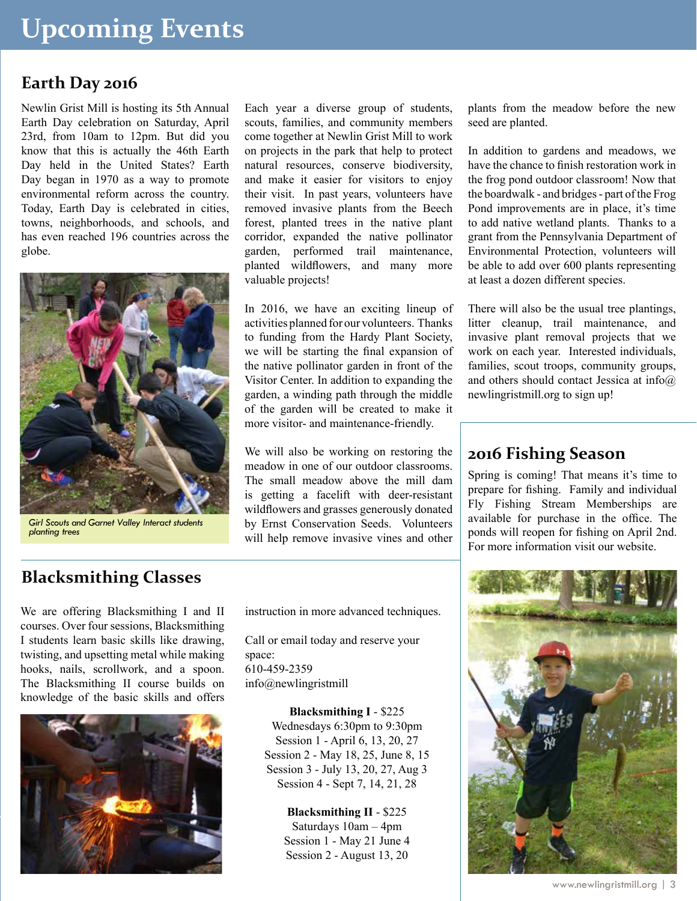#### **Earth Day 2016**

Newlin Grist Mill is hosting its 5th Annual Earth Day celebration on Saturday, April 23rd, from 10am to 12pm. But did you know that this is actually the 46th Earth Day held in the United States? Earth Day began in 1970 as a way to promote environmental reform across the country. Today, Earth Day is celebrated in cities, towns, neighborhoods, and schools, and has even reached 196 countries across the globe.



*Girl Scouts and Garnet Valley Interact students planting trees*

Each year a diverse group of students, scouts, families, and community members come together at Newlin Grist Mill to work on projects in the park that help to protect natural resources, conserve biodiversity, and make it easier for visitors to enjoy their visit. In past years, volunteers have removed invasive plants from the Beech forest, planted trees in the native plant corridor, expanded the native pollinator garden, performed trail maintenance, planted wildflowers, and many more valuable projects!

In 2016, we have an exciting lineup of activities planned for our volunteers. Thanks to funding from the Hardy Plant Society, we will be starting the final expansion of the native pollinator garden in front of the Visitor Center. In addition to expanding the garden, a winding path through the middle of the garden will be created to make it more visitor- and maintenance-friendly.

We will also be working on restoring the meadow in one of our outdoor classrooms. The small meadow above the mill dam is getting a facelift with deer-resistant wildflowers and grasses generously donated by Ernst Conservation Seeds. Volunteers will help remove invasive vines and other

plants from the meadow before the new seed are planted.

In addition to gardens and meadows, we have the chance to finish restoration work in the frog pond outdoor classroom! Now that the boardwalk - and bridges - part of the Frog Pond improvements are in place, it's time to add native wetland plants. Thanks to a grant from the Pennsylvania Department of Environmental Protection, volunteers will be able to add over 600 plants representing at least a dozen different species.

There will also be the usual tree plantings, litter cleanup, trail maintenance, and invasive plant removal projects that we work on each year. Interested individuals, families, scout troops, community groups, and others should contact Jessica at info@ newlingristmill.org to sign up!

#### **2016 Fishing Season**

Spring is coming! That means it's time to prepare for fishing. Family and individual Fly Fishing Stream Memberships are available for purchase in the office. The ponds will reopen for fishing on April 2nd. For more information visit our website.

#### **Blacksmithing Classes**

We are offering Blacksmithing I and II courses. Over four sessions, Blacksmithing I students learn basic skills like drawing, twisting, and upsetting metal while making hooks, nails, scrollwork, and a spoon. The Blacksmithing II course builds on knowledge of the basic skills and offers



instruction in more advanced techniques.

Call or email today and reserve your space: 610-459-2359 info@newlingristmill

> **Blacksmithing I** - \$225 Wednesdays 6:30pm to 9:30pm Session 1 - April 6, 13, 20, 27 Session 2 - May 18, 25, June 8, 15 Session 3 - July 13, 20, 27, Aug 3 Session 4 - Sept 7, 14, 21, 28

> > **Blacksmithing II** - \$225 Saturdays 10am – 4pm Session 1 - May 21 June 4 Session 2 - August 13, 20

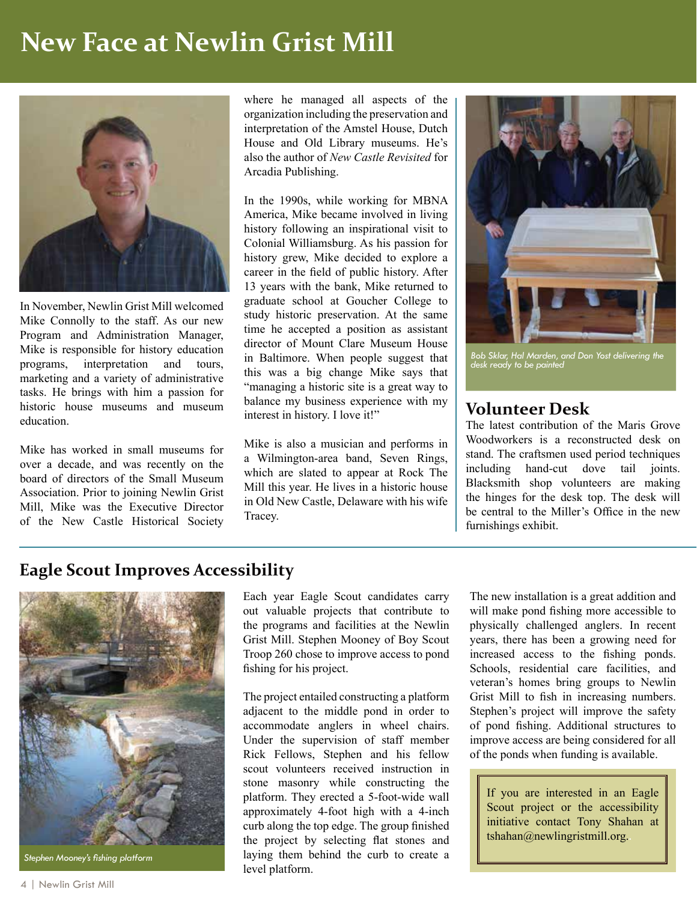# **New Face at Newlin Grist Mill**



In November, Newlin Grist Mill welcomed Mike Connolly to the staff. As our new Program and Administration Manager, Mike is responsible for history education programs, interpretation and tours, marketing and a variety of administrative tasks. He brings with him a passion for historic house museums and museum education.

Mike has worked in small museums for over a decade, and was recently on the board of directors of the Small Museum Association. Prior to joining Newlin Grist Mill, Mike was the Executive Director of the New Castle Historical Society where he managed all aspects of the organization including the preservation and interpretation of the Amstel House, Dutch House and Old Library museums. He's also the author of *New Castle Revisited* for Arcadia Publishing.

In the 1990s, while working for MBNA America, Mike became involved in living history following an inspirational visit to Colonial Williamsburg. As his passion for history grew, Mike decided to explore a career in the field of public history. After 13 years with the bank, Mike returned to graduate school at Goucher College to study historic preservation. At the same time he accepted a position as assistant director of Mount Clare Museum House in Baltimore. When people suggest that this was a big change Mike says that "managing a historic site is a great way to balance my business experience with my interest in history. I love it!"

Mike is also a musician and performs in a Wilmington-area band, Seven Rings, which are slated to appear at Rock The Mill this year. He lives in a historic house in Old New Castle, Delaware with his wife Tracey.



*Bob Sklar, Hal Marden, and Don Yost delivering the desk ready to be painted*

#### **Volunteer Desk**

The latest contribution of the Maris Grove Woodworkers is a reconstructed desk on stand. The craftsmen used period techniques including hand-cut dove tail joints. Blacksmith shop volunteers are making the hinges for the desk top. The desk will be central to the Miller's Office in the new furnishings exhibit.

#### **Eagle Scout Improves Accessibility**



*Stephen Mooney's fishing platform*

Each year Eagle Scout candidates carry out valuable projects that contribute to the programs and facilities at the Newlin Grist Mill. Stephen Mooney of Boy Scout Troop 260 chose to improve access to pond fishing for his project.

The project entailed constructing a platform adjacent to the middle pond in order to accommodate anglers in wheel chairs. Under the supervision of staff member Rick Fellows, Stephen and his fellow scout volunteers received instruction in stone masonry while constructing the platform. They erected a 5-foot-wide wall approximately 4-foot high with a 4-inch curb along the top edge. The group finished the project by selecting flat stones and laying them behind the curb to create a level platform.

The new installation is a great addition and will make pond fishing more accessible to physically challenged anglers. In recent years, there has been a growing need for increased access to the fishing ponds. Schools, residential care facilities, and veteran's homes bring groups to Newlin Grist Mill to fish in increasing numbers. Stephen's project will improve the safety of pond fishing. Additional structures to improve access are being considered for all of the ponds when funding is available.

If you are interested in an Eagle Scout project or the accessibility initiative contact Tony Shahan at tshahan@newlingristmill.org.*.*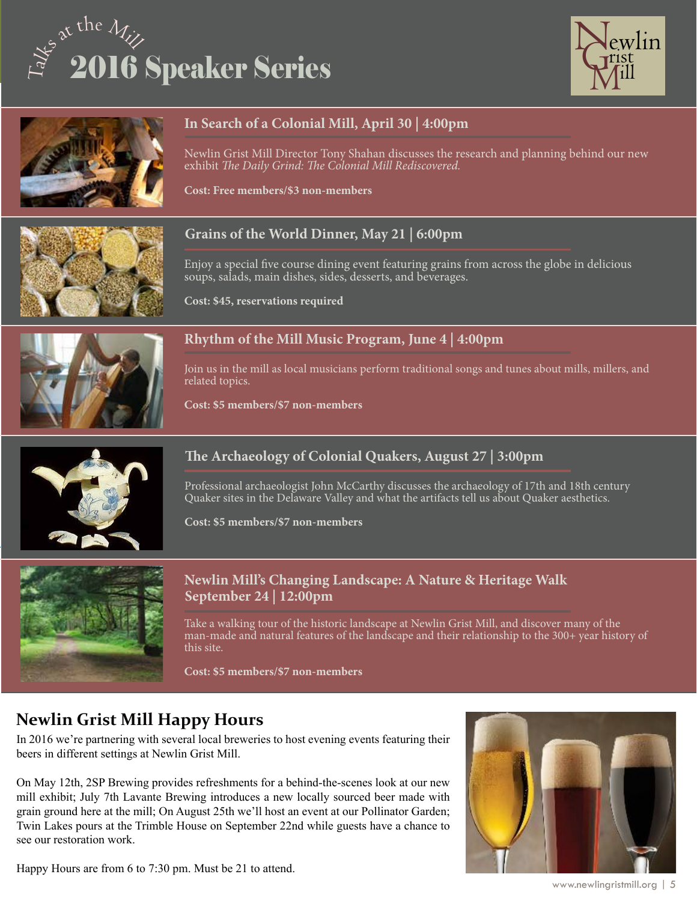# of at the Mill 2016 Speaker Series





#### **In Search of a Colonial Mill, April 30 | 4:00pm**

Newlin Grist Mill Director Tony Shahan discusses the research and planning behind our new exhibit *The Daily Grind: The Colonial Mill Rediscovered.*

**Cost: Free members/\$3 non-members**

#### **Grains of the World Dinner, May 21 | 6:00pm**

Enjoy a special five course dining event featuring grains from across the globe in delicious soups, salads, main dishes, sides, desserts, and beverages.

**Cost: \$45, reservations required**



#### **Rhythm of the Mill Music Program, June 4 | 4:00pm**

Join us in the mill as local musicians perform traditional songs and tunes about mills, millers, and related topics.

**Cost: \$5 members/\$7 non-members**



#### **The Archaeology of Colonial Quakers, August 27 | 3:00pm**

Professional archaeologist John McCarthy discusses the archaeology of 17th and 18th century Quaker sites in the Delaware Valley and what the artifacts tell us about Quaker aesthetics.

**Cost: \$5 members/\$7 non-members**



#### **Newlin Mill's Changing Landscape: A Nature & Heritage Walk September 24 | 12:00pm**

Take a walking tour of the historic landscape at Newlin Grist Mill, and discover many of the man-made and natural features of the landscape and their relationship to the 300+ year history of this site.

**Cost: \$5 members/\$7 non-members**

#### **Newlin Grist Mill Happy Hours**

In 2016 we're partnering with several local breweries to host evening events featuring their beers in different settings at Newlin Grist Mill.

On May 12th, 2SP Brewing provides refreshments for a behind-the-scenes look at our new mill exhibit; July 7th Lavante Brewing introduces a new locally sourced beer made with grain ground here at the mill; On August 25th we'll host an event at our Pollinator Garden; Twin Lakes pours at the Trimble House on September 22nd while guests have a chance to see our restoration work.



Happy Hours are from 6 to 7:30 pm. Must be 21 to attend.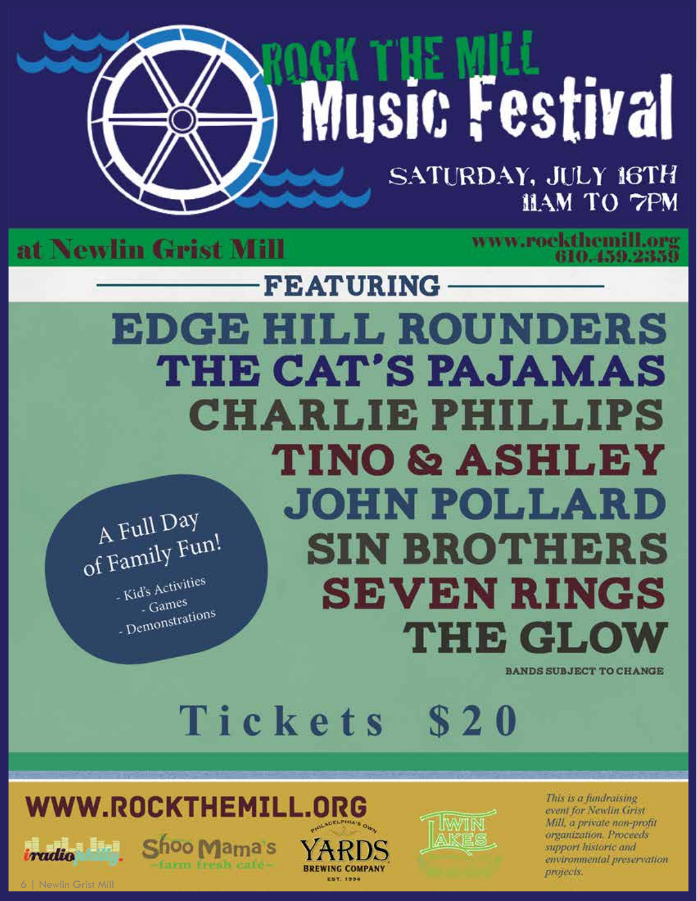# Music Festival

SATURDAY, JULY 16TH HAM TO 7PM

at Newlin Grist Mill

www.rockthemill.org<br>610.459.2359

**FEATURING EDGE HILL ROUNDERS** THE CAT'S PAJAMAS **CHARLIE PHILLIPS TINO & ASHLEY JOHN POLLARD** A Full Day A Full Day **SIN BROTHERS** - Kid's Activities **SEVEN RINGS**  $\frac{1}{2}$  Games - Gaines<br>- Demonstrations **THE GLO'** 

**BANDS SUBJECT TO CHANGE** 

Tickets **S20** 

**BREWING COMPANY** 

**EST. 1994** 



farm fresh cafe-



This is a fundraising event for Newlin Grist Mill, a private non-profit organization. Proceeds support historic and environmental preservation projects.

Newlin Grist Mil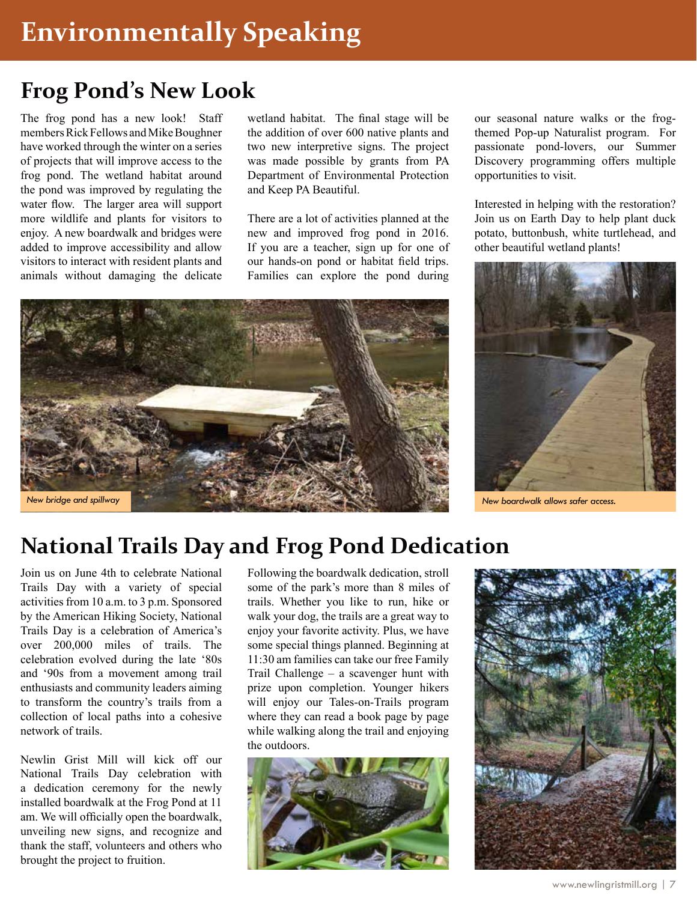# **Frog Pond's New Look**

The frog pond has a new look! Staff members Rick Fellows and Mike Boughner have worked through the winter on a series of projects that will improve access to the frog pond. The wetland habitat around the pond was improved by regulating the water flow. The larger area will support more wildlife and plants for visitors to enjoy. A new boardwalk and bridges were added to improve accessibility and allow visitors to interact with resident plants and animals without damaging the delicate

wetland habitat. The final stage will be the addition of over 600 native plants and two new interpretive signs. The project was made possible by grants from PA Department of Environmental Protection and Keep PA Beautiful.

There are a lot of activities planned at the new and improved frog pond in 2016. If you are a teacher, sign up for one of our hands-on pond or habitat field trips. Families can explore the pond during

*New bridge and spillway New boardwalk allows safer access.*

our seasonal nature walks or the frogthemed Pop-up Naturalist program. For passionate pond-lovers, our Summer Discovery programming offers multiple opportunities to visit.

Interested in helping with the restoration? Join us on Earth Day to help plant duck potato, buttonbush, white turtlehead, and other beautiful wetland plants!



# **National Trails Day and Frog Pond Dedication**

Join us on June 4th to celebrate National Trails Day with a variety of special activities from 10 a.m. to 3 p.m. Sponsored by the American Hiking Society, National Trails Day is a celebration of America's over 200,000 miles of trails. The celebration evolved during the late '80s and '90s from a movement among trail enthusiasts and community leaders aiming to transform the country's trails from a collection of local paths into a cohesive network of trails.

Newlin Grist Mill will kick off our National Trails Day celebration with a dedication ceremony for the newly installed boardwalk at the Frog Pond at 11 am. We will officially open the boardwalk, unveiling new signs, and recognize and thank the staff, volunteers and others who brought the project to fruition.

Following the boardwalk dedication, stroll some of the park's more than 8 miles of trails. Whether you like to run, hike or walk your dog, the trails are a great way to enjoy your favorite activity. Plus, we have some special things planned. Beginning at 11:30 am families can take our free Family Trail Challenge – a scavenger hunt with prize upon completion. Younger hikers will enjoy our Tales-on-Trails program where they can read a book page by page while walking along the trail and enjoying the outdoors.



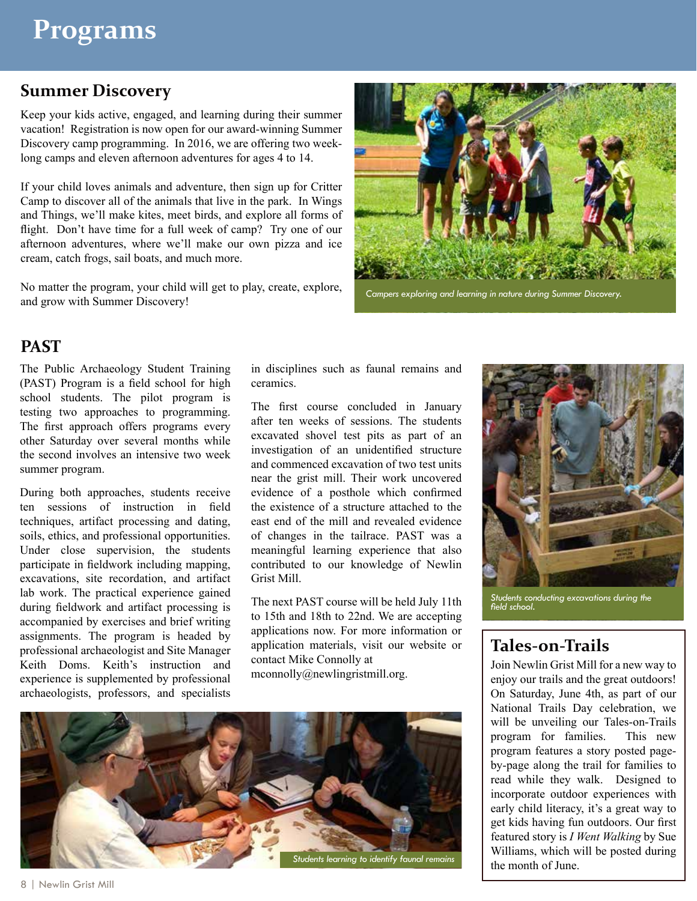#### **Summer Discovery**

Keep your kids active, engaged, and learning during their summer vacation! Registration is now open for our award-winning Summer Discovery camp programming. In 2016, we are offering two weeklong camps and eleven afternoon adventures for ages 4 to 14.

If your child loves animals and adventure, then sign up for Critter Camp to discover all of the animals that live in the park. In Wings and Things, we'll make kites, meet birds, and explore all forms of flight. Don't have time for a full week of camp? Try one of our afternoon adventures, where we'll make our own pizza and ice cream, catch frogs, sail boats, and much more.

No matter the program, your child will get to play, create, explore, and grow with Summer Discovery!



*Campers exploring and learning in nature during Summer Discovery.*

#### **PAST**

The Public Archaeology Student Training (PAST) Program is a field school for high school students. The pilot program is testing two approaches to programming. The first approach offers programs every other Saturday over several months while the second involves an intensive two week summer program.

During both approaches, students receive ten sessions of instruction in field techniques, artifact processing and dating, soils, ethics, and professional opportunities. Under close supervision, the students participate in fieldwork including mapping, excavations, site recordation, and artifact lab work. The practical experience gained during fieldwork and artifact processing is accompanied by exercises and brief writing assignments. The program is headed by professional archaeologist and Site Manager Keith Doms. Keith's instruction and experience is supplemented by professional archaeologists, professors, and specialists in disciplines such as faunal remains and ceramics.

The first course concluded in January after ten weeks of sessions. The students excavated shovel test pits as part of an investigation of an unidentified structure and commenced excavation of two test units near the grist mill. Their work uncovered evidence of a posthole which confirmed the existence of a structure attached to the east end of the mill and revealed evidence of changes in the tailrace. PAST was a meaningful learning experience that also contributed to our knowledge of Newlin Grist Mill.

The next PAST course will be held July 11th to 15th and 18th to 22nd. We are accepting applications now. For more information or application materials, visit our website or contact Mike Connolly at mconnolly@newlingristmill.org.



*Students conducting excavations during the field school.*

#### **Tales-on-Trails**

Join Newlin Grist Mill for a new way to enjoy our trails and the great outdoors! On Saturday, June 4th, as part of our National Trails Day celebration, we will be unveiling our Tales-on-Trails program for families. This new program features a story posted pageby-page along the trail for families to read while they walk. Designed to incorporate outdoor experiences with early child literacy, it's a great way to get kids having fun outdoors. Our first featured story is *I Went Walking* by Sue Williams, which will be posted during the month of June.

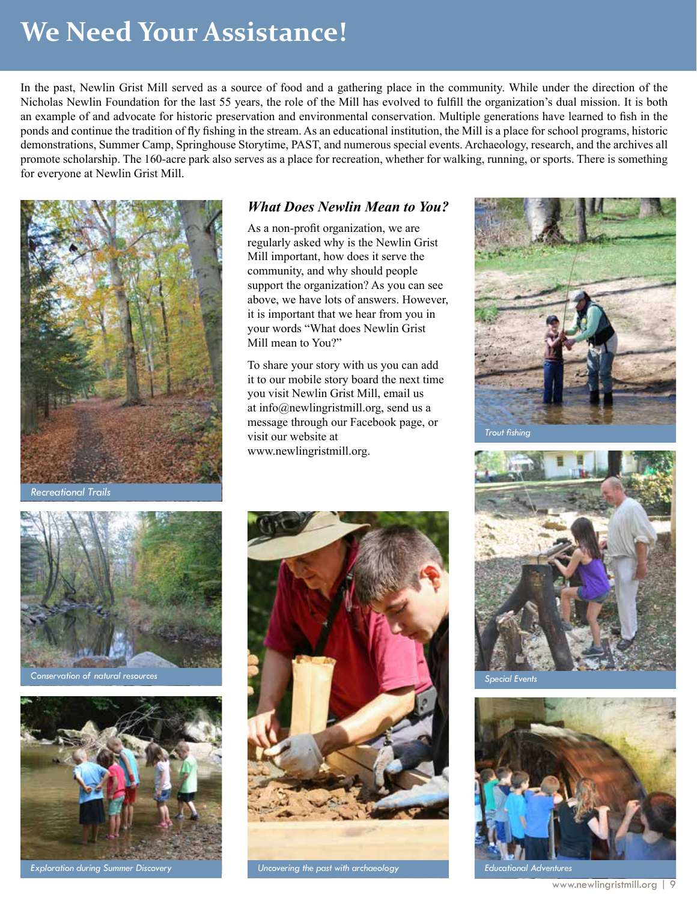# **We Need Your Assistance!**

In the past, Newlin Grist Mill served as a source of food and a gathering place in the community. While under the direction of the Nicholas Newlin Foundation for the last 55 years, the role of the Mill has evolved to fulfill the organization's dual mission. It is both an example of and advocate for historic preservation and environmental conservation. Multiple generations have learned to fish in the ponds and continue the tradition of fly fishing in the stream. As an educational institution, the Mill is a place for school programs, historic demonstrations, Summer Camp, Springhouse Storytime, PAST, and numerous special events. Archaeology, research, and the archives all promote scholarship. The 160-acre park also serves as a place for recreation, whether for walking, running, or sports. There is something for everyone at Newlin Grist Mill.



*Recreational Trails*

#### *What Does Newlin Mean to You?*

As a non-profit organization, we are regularly asked why is the Newlin Grist Mill important, how does it serve the community, and why should people support the organization? As you can see above, we have lots of answers. However, it is important that we hear from you in your words "What does Newlin Grist Mill mean to You?"

To share your story with us you can add it to our mobile story board the next time you visit Newlin Grist Mill, email us at info@newlingristmill.org, send us a message through our Facebook page, or visit our website at www.newlingristmill.org.





*Conservation of natural resources*





*Exploration during Summer Discovery Uncovering the past with archaeology*



*Special Events*



*Educational Adventures*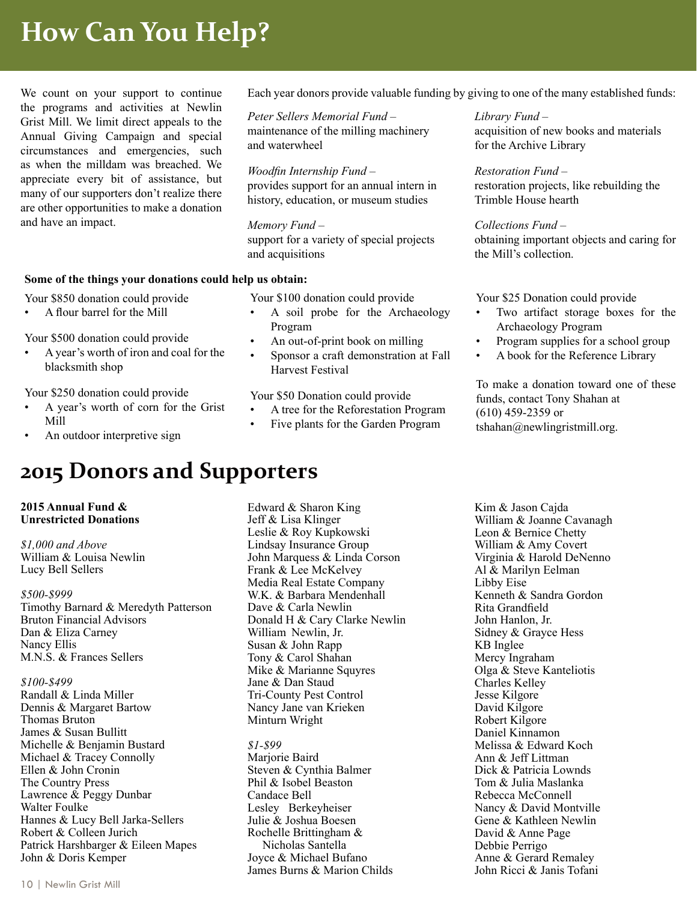# **How Can You Help?**

We count on your support to continue the programs and activities at Newlin Grist Mill. We limit direct appeals to the Annual Giving Campaign and special circumstances and emergencies, such as when the milldam was breached. We appreciate every bit of assistance, but many of our supporters don't realize there are other opportunities to make a donation and have an impact.

#### **Some of the things your donations could help us obtain:**

• A flour barrel for the Mill

Your \$500 donation could provide

Your \$850 donation could provide

• A year's worth of iron and coal for the blacksmith shop

Your \$250 donation could provide

- A year's worth of corn for the Grist Mill
- An outdoor interpretive sign

### **2015 Donors and Supporters**

#### **2015 Annual Fund & Unrestricted Donations**

*\$1,000 and Above* William & Louisa Newlin Lucy Bell Sellers

*\$500-\$999* Timothy Barnard & Meredyth Patterson Bruton Financial Advisors Dan & Eliza Carney Nancy Ellis M.N.S. & Frances Sellers

#### *\$100-\$499*

Randall & Linda Miller Dennis & Margaret Bartow Thomas Bruton James & Susan Bullitt Michelle & Benjamin Bustard Michael & Tracey Connolly Ellen & John Cronin The Country Press Lawrence & Peggy Dunbar Walter Foulke Hannes & Lucy Bell Jarka-Sellers Robert & Colleen Jurich Patrick Harshbarger & Eileen Mapes John & Doris Kemper

Each year donors provide valuable funding by giving to one of the many established funds:

*Peter Sellers Memorial Fund* – maintenance of the milling machinery and waterwheel

*Woodfin Internship Fund* – provides support for an annual intern in history, education, or museum studies

#### *Memory Fund* –

support for a variety of special projects and acquisitions

Your \$100 donation could provide

- A soil probe for the Archaeology Program
- An out-of-print book on milling
- Sponsor a craft demonstration at Fall Harvest Festival

#### Your \$50 Donation could provide

- A tree for the Reforestation Program
- Five plants for the Garden Program

Edward & Sharon King Jeff & Lisa Klinger Leslie & Roy Kupkowski Lindsay Insurance Group John Marquess & Linda Corson Frank & Lee McKelvey Media Real Estate Company W.K. & Barbara Mendenhall Dave & Carla Newlin Donald H & Cary Clarke Newlin William Newlin, Jr. Susan & John Rapp Tony & Carol Shahan Mike & Marianne Squyres Jane & Dan Staud Tri-County Pest Control Nancy Jane van Krieken Minturn Wright

*\$1-\$99* Marjorie Baird Steven & Cynthia Balmer Phil & Isobel Beaston Candace Bell Lesley Berkeyheiser Julie & Joshua Boesen Rochelle Brittingham & Nicholas Santella Joyce & Michael Bufano James Burns & Marion Childs *Library Fund* – acquisition of new books and materials for the Archive Library

*Restoration Fund* – restoration projects, like rebuilding the Trimble House hearth

*Collections Fund* – obtaining important objects and caring for the Mill's collection.

Your \$25 Donation could provide

- Two artifact storage boxes for the Archaeology Program
- Program supplies for a school group
- A book for the Reference Library

To make a donation toward one of these funds, contact Tony Shahan at (610) 459-2359 or tshahan@newlingristmill.org.

Kim & Jason Cajda William & Joanne Cavanagh Leon & Bernice Chetty William & Amy Covert Virginia & Harold DeNenno Al & Marilyn Eelman Libby Eise Kenneth & Sandra Gordon Rita Grandfield John Hanlon, Jr. Sidney & Grayce Hess KB Inglee Mercy Ingraham Olga & Steve Kanteliotis Charles Kelley Jesse Kilgore David Kilgore Robert Kilgore Daniel Kinnamon Melissa & Edward Koch Ann & Jeff Littman Dick & Patricia Lownds Tom & Julia Maslanka Rebecca McConnell Nancy & David Montville Gene & Kathleen Newlin David & Anne Page Debbie Perrigo Anne & Gerard Remaley John Ricci & Janis Tofani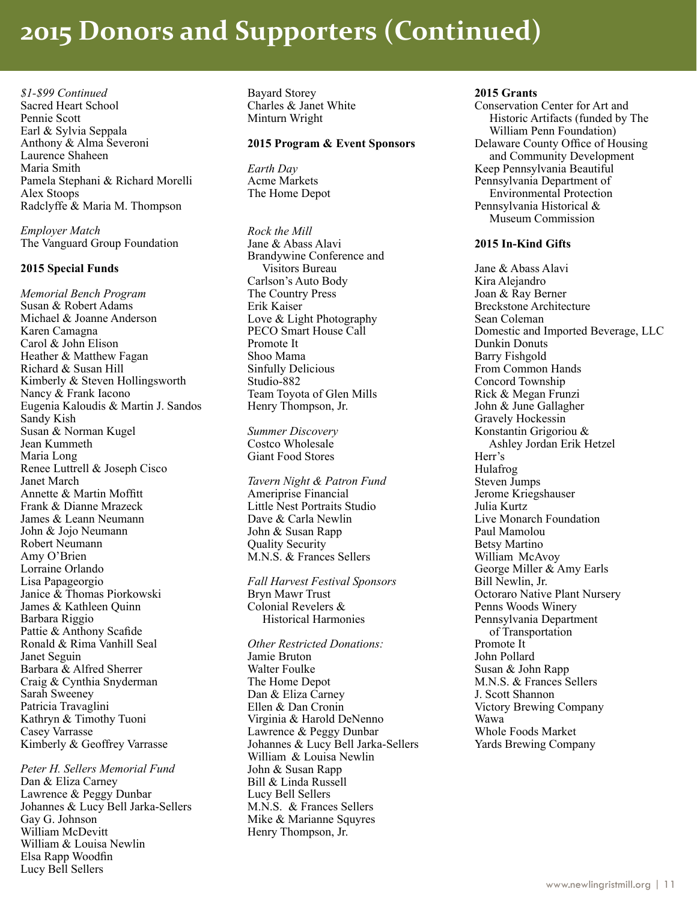# **2015 Donors and Supporters (Continued)**

*\$1-\$99 Continued* Sacred Heart School Pennie Scott Earl & Sylvia Seppala Anthony & Alma Severoni Laurence Shaheen Maria Smith Pamela Stephani & Richard Morelli Alex Stoops Radclyffe & Maria M. Thompson

*Employer Match* The Vanguard Group Foundation

#### **2015 Special Funds**

*Memorial Bench Program* Susan & Robert Adams Michael & Joanne Anderson Karen Camagna Carol & John Elison Heather & Matthew Fagan Richard & Susan Hill Kimberly & Steven Hollingsworth Nancy & Frank Iacono Eugenia Kaloudis & Martin J. Sandos Sandy Kish Susan & Norman Kugel Jean Kummeth Maria Long Renee Luttrell & Joseph Cisco Janet March Annette & Martin Moffitt Frank & Dianne Mrazeck James & Leann Neumann John & Jojo Neumann Robert Neumann Amy O'Brien Lorraine Orlando Lisa Papageorgio Janice & Thomas Piorkowski James & Kathleen Quinn Barbara Riggio Pattie & Anthony Scafide Ronald & Rima Vanhill Seal Janet Seguin Barbara & Alfred Sherrer Craig & Cynthia Snyderman Sarah Sweeney Patricia Travaglini Kathryn & Timothy Tuoni Casey Varrasse Kimberly & Geoffrey Varrasse

*Peter H. Sellers Memorial Fund* Dan & Eliza Carney Lawrence & Peggy Dunbar Johannes & Lucy Bell Jarka-Sellers Gay G. Johnson William McDevitt William & Louisa Newlin Elsa Rapp Woodfin Lucy Bell Sellers

Bayard Storey Charles & Janet White Minturn Wright

#### **2015 Program & Event Sponsors**

*Earth Day* Acme Markets The Home Depot

*Rock the Mill* Jane & Abass Alavi Brandywine Conference and Visitors Bureau Carlson's Auto Body The Country Press Erik Kaiser Love & Light Photography PECO Smart House Call Promote It Shoo Mama Sinfully Delicious Studio-882 Team Toyota of Glen Mills Henry Thompson, Jr.

*Summer Discovery* Costco Wholesale Giant Food Stores

*Tavern Night & Patron Fund* Ameriprise Financial Little Nest Portraits Studio Dave & Carla Newlin John & Susan Rapp Quality Security M.N.S. & Frances Sellers

*Fall Harvest Festival Sponsors* Bryn Mawr Trust Colonial Revelers & Historical Harmonies

*Other Restricted Donations:* Jamie Bruton Walter Foulke The Home Depot Dan & Eliza Carney Ellen & Dan Cronin Virginia & Harold DeNenno Lawrence & Peggy Dunbar Johannes & Lucy Bell Jarka-Sellers William & Louisa Newlin John & Susan Rapp Bill & Linda Russell Lucy Bell Sellers M.N.S. & Frances Sellers Mike & Marianne Squyres Henry Thompson, Jr.

#### **2015 Grants**

Conservation Center for Art and Historic Artifacts (funded by The William Penn Foundation) Delaware County Office of Housing and Community Development Keep Pennsylvania Beautiful Pennsylvania Department of Environmental Protection Pennsylvania Historical & Museum Commission

#### **2015 In-Kind Gifts**

Jane & Abass Alavi Kira Alejandro Joan & Ray Berner Breckstone Architecture Sean Coleman Domestic and Imported Beverage, LLC Dunkin Donuts Barry Fishgold From Common Hands Concord Township Rick & Megan Frunzi John & June Gallagher Gravely Hockessin Konstantin Grigoriou & Ashley Jordan Erik Hetzel Herr's Hulafrog Steven Jumps Jerome Kriegshauser Julia Kurtz Live Monarch Foundation Paul Mamolou Betsy Martino William McAvoy George Miller & Amy Earls Bill Newlin, Jr. Octoraro Native Plant Nursery Penns Woods Winery Pennsylvania Department of Transportation Promote It John Pollard Susan & John Rapp M.N.S. & Frances Sellers J. Scott Shannon Victory Brewing Company Wawa Whole Foods Market Yards Brewing Company